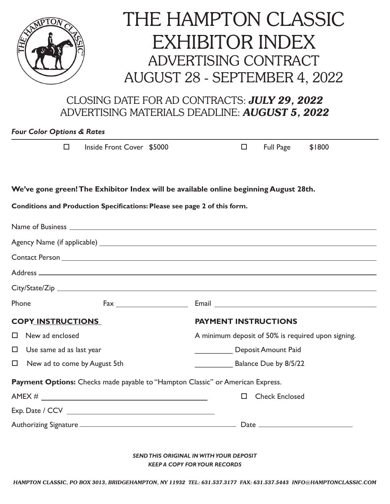

## THE HAMPTON CLASSIC EXHIBITOR INDEX ADVERTISING CONTRACT AUGUST 28 - SEPTEMBER 4, 2022

## CLOSING DATE FOR AD CONTRACTS: *JULY 29, 2022* ADVERTISING MATERIALS DEADLINE: *AUGUST 5, 2022*

## *Four Color Options & Rates*

| $\Box$                                                                                                                                                                                                                               | Inside Front Cover \$5000             |                                                    | $\Box$                | <b>Full Page</b> | \$1800 |  |
|--------------------------------------------------------------------------------------------------------------------------------------------------------------------------------------------------------------------------------------|---------------------------------------|----------------------------------------------------|-----------------------|------------------|--------|--|
| We've gone green! The Exhibitor Index will be available online beginning August 28th.                                                                                                                                                |                                       |                                                    |                       |                  |        |  |
| Conditions and Production Specifications: Please see page 2 of this form.                                                                                                                                                            |                                       |                                                    |                       |                  |        |  |
| Name of Business <u>examed a series of the series of the series of the series of the series of the series of the series of the series of the series of the series of the series of the series of the series of the series of the</u> |                                       |                                                    |                       |                  |        |  |
|                                                                                                                                                                                                                                      |                                       |                                                    |                       |                  |        |  |
|                                                                                                                                                                                                                                      |                                       |                                                    |                       |                  |        |  |
|                                                                                                                                                                                                                                      |                                       |                                                    |                       |                  |        |  |
|                                                                                                                                                                                                                                      |                                       |                                                    |                       |                  |        |  |
| Phone                                                                                                                                                                                                                                | $\mathsf{Fax}$ $\qquad \qquad \qquad$ |                                                    |                       |                  |        |  |
| <b>COPY INSTRUCTIONS</b>                                                                                                                                                                                                             |                                       | <b>PAYMENT INSTRUCTIONS</b>                        |                       |                  |        |  |
| $\Box$<br>New ad enclosed                                                                                                                                                                                                            |                                       | A minimum deposit of 50% is required upon signing. |                       |                  |        |  |
| $\Box$<br>Use same ad as last year                                                                                                                                                                                                   |                                       | Deposit Amount Paid                                |                       |                  |        |  |
| $\Box$<br>New ad to come by August 5th                                                                                                                                                                                               |                                       | <b>Balance Due by 8/5/22</b>                       |                       |                  |        |  |
| Payment Options: Checks made payable to "Hampton Classic" or American Express.                                                                                                                                                       |                                       |                                                    |                       |                  |        |  |
|                                                                                                                                                                                                                                      |                                       | П                                                  | <b>Check Enclosed</b> |                  |        |  |
|                                                                                                                                                                                                                                      |                                       |                                                    |                       |                  |        |  |
|                                                                                                                                                                                                                                      |                                       |                                                    |                       |                  |        |  |

*SEND THIS ORIGINAL IN WITH YOUR DEPOSIT KEEP A COPY FOR YOUR RECORDS*